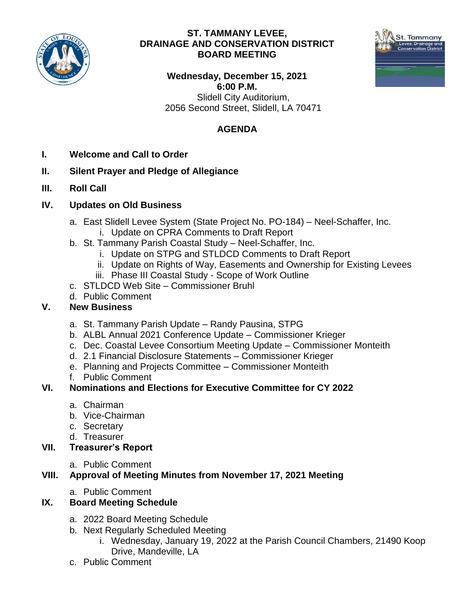

#### **ST. TAMMANY LEVEE, DRAINAGE AND CONSERVATION DISTRICT BOARD MEETING**



**Wednesday, December 15, 2021 6:00 P.M.** Slidell City Auditorium, 2056 Second Street, Slidell, LA 70471

## **AGENDA**

- **I. Welcome and Call to Order**
- **II. Silent Prayer and Pledge of Allegiance**
- **III. Roll Call**

#### **IV. Updates on Old Business**

- a. East Slidell Levee System (State Project No. PO-184) Neel-Schaffer, Inc.
	- i. Update on CPRA Comments to Draft Report
- b. St. Tammany Parish Coastal Study Neel-Schaffer, Inc.
	- i. Update on STPG and STLDCD Comments to Draft Report
	- ii. Update on Rights of Way, Easements and Ownership for Existing Levees
	- iii. Phase III Coastal Study Scope of Work Outline
- c. STLDCD Web Site Commissioner Bruhl
- d. Public Comment

## **V. New Business**

- a. St. Tammany Parish Update Randy Pausina, STPG
- b. ALBL Annual 2021 Conference Update Commissioner Krieger
- c. Dec. Coastal Levee Consortium Meeting Update Commissioner Monteith
- d. 2.1 Financial Disclosure Statements Commissioner Krieger
- e. Planning and Projects Committee Commissioner Monteith
- f. Public Comment

## **VI. Nominations and Elections for Executive Committee for CY 2022**

- a. Chairman
- b. Vice-Chairman
- c. Secretary
- d. Treasurer
- **VII. Treasurer's Report** 
	- a. Public Comment

## **VIII. Approval of Meeting Minutes from November 17, 2021 Meeting**

a. Public Comment

## **IX. Board Meeting Schedule**

- a. 2022 Board Meeting Schedule
- b. Next Regularly Scheduled Meeting
	- i. Wednesday, January 19, 2022 at the Parish Council Chambers, 21490 Koop Drive, Mandeville, LA
- c. Public Comment